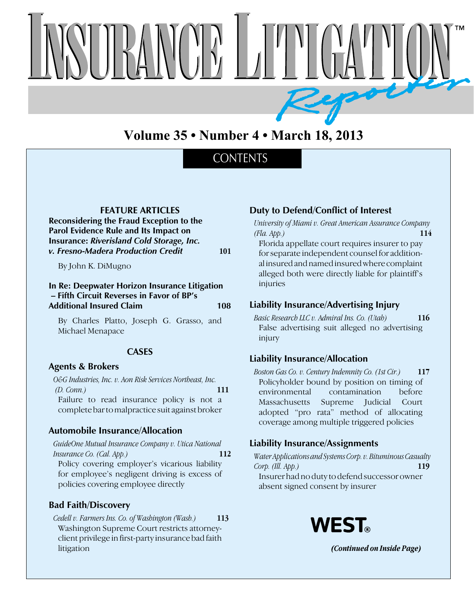

# **Volume 35 • Number 4 • March 18, 2013**

## **CONTENTS**

**FEATURE ARTICLES**

**Reconsidering the Fraud Exception to the Parol Evidence Rule and Its Impact on Insurance:** *Riverisland Cold Storage, Inc. v. Fresno-Madera Production Credit* **101**

By John K. DiMugno

#### **In Re: Deepwater Horizon Insurance Litigation – Fifth Circuit Reverses in Favor of BP's Additional Insured Claim 108**

By Charles Platto, Joseph G. Grasso, and Michael Menapace

#### **CASES**

#### **Agents & Brokers**

*O&G Industries, Inc. v. Aon Risk Services Northeast, Inc. (D. Conn.)* **111** Failure to read insurance policy is not a complete bar to malpractice suit against broker

### **Automobile Insurance/Allocation**

*GuideOne Mutual Insurance Company v. Utica National Insurance Co. (Cal. App.)* **112** Policy covering employer's vicarious liability for employee's negligent driving is excess of policies covering employee directly

#### **Bad Faith/Discovery**

*Cedell v. Farmers Ins. Co. of Washington (Wash.)* **113** Washington Supreme Court restricts attorneyclient privilege in first-party insurance bad faith litigation

### **Duty to Defend/Conflict of Interest**

*University of Miami v. Great American Assurance Company (Fla. App.)* **114**

Florida appellate court requires insurer to pay for separate independent counsel for additional insured and named insured where complaint alleged both were directly liable for plaintiff's injuries

#### **Liability Insurance/Advertising Injury**

*Basic Research LLC v. Admiral Ins. Co. (Utah)* **116** False advertising suit alleged no advertising injury

#### **Liability Insurance/Allocation**

*Boston Gas Co. v. Century Indemnity Co. (1st Cir.)* **117** Policyholder bound by position on timing of environmental contamination before Massachusetts Supreme Judicial Court adopted "pro rata" method of allocating coverage among multiple triggered policies

#### **Liability Insurance/Assignments**

*Water Applications and Systems Corp. v. Bituminous Casualty Corp. (Ill. App.)* **119** Insurer had no duty to defend successor owner absent signed consent by insurer



 *(Continued on Inside Page)*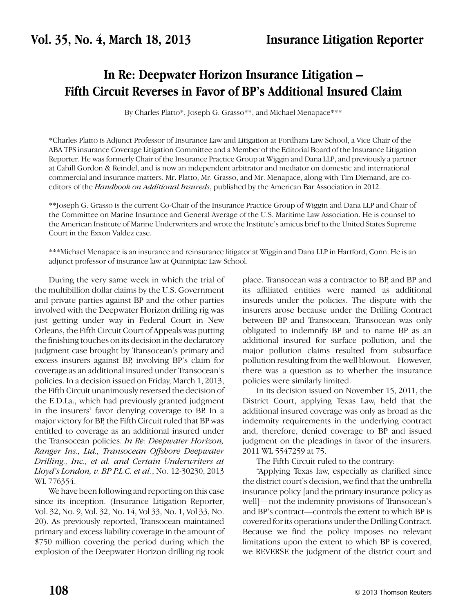# **In Re: Deepwater Horizon Insurance Litigation – Fifth Circuit Reverses in Favor of BP's Additional Insured Claim**

By Charles Platto\*, Joseph G. Grasso\*\*, and Michael Menapace\*\*\*

\*Charles Platto is Adjunct Professor of Insurance Law and Litigation at Fordham Law School, a Vice Chair of the ABA TPS insurance Coverage Litigation Committee and a Member of the Editorial Board of the Insurance Litigation Reporter. He was formerly Chair of the Insurance Practice Group at Wiggin and Dana LLP, and previously a partner at Cahill Gordon & Reindel, and is now an independent arbitrator and mediator on domestic and international commercial and insurance matters. Mr. Platto, Mr. Grasso, and Mr. Menapace, along with Tim Diemand, are coeditors of the *Handbook on Additional Insureds*, published by the American Bar Association in 2012.

\*\*Joseph G. Grasso is the current Co-Chair of the Insurance Practice Group of Wiggin and Dana LLP and Chair of the Committee on Marine Insurance and General Average of the U.S. Maritime Law Association. He is counsel to the American Institute of Marine Underwriters and wrote the Institute's amicus brief to the United States Supreme Court in the Exxon Valdez case.

\*\*\*Michael Menapace is an insurance and reinsurance litigator at Wiggin and Dana LLP in Hartford, Conn. He is an adjunct professor of insurance law at Quinnipiac Law School.

During the very same week in which the trial of the multibillion dollar claims by the U.S. Government and private parties against BP and the other parties involved with the Deepwater Horizon drilling rig was just getting under way in Federal Court in New Orleans, the Fifth Circuit Court of Appeals was putting the finishing touches on its decision in the declaratory judgment case brought by Transocean's primary and excess insurers against BP, involving BP's claim for coverage as an additional insured under Transocean's policies. In a decision issued on Friday, March 1, 2013, the Fifth Circuit unanimously reversed the decision of the E.D.La., which had previously granted judgment in the insurers' favor denying coverage to BP. In a major victory for BP, the Fifth Circuit ruled that BP was entitled to coverage as an additional insured under the Transocean policies. *In Re: Deepwater Horizon, Ranger Ins., Ltd., Transocean Offshore Deepwater Drilling., Inc., et al. and Certain Underwriters at Lloyd's London, v. BP P.L.C. et al.*, No. 12-30230, 2013 WL 776354.

We have been following and reporting on this case since its inception. (Insurance Litigation Reporter, Vol. 32, No. 9, Vol. 32, No. 14, Vol 33, No. 1, Vol 33, No. 20). As previously reported, Transocean maintained primary and excess liability coverage in the amount of \$750 million covering the period during which the explosion of the Deepwater Horizon drilling rig took place. Transocean was a contractor to BP, and BP and its affiliated entities were named as additional insureds under the policies. The dispute with the insurers arose because under the Drilling Contract between BP and Transocean, Transocean was only obligated to indemnify BP and to name BP as an additional insured for surface pollution, and the major pollution claims resulted from subsurface pollution resulting from the well blowout. However, there was a question as to whether the insurance policies were similarly limited.

In its decision issued on November 15, 2011, the District Court, applying Texas Law, held that the additional insured coverage was only as broad as the indemnity requirements in the underlying contract and, therefore, denied coverage to BP and issued judgment on the pleadings in favor of the insurers. 2011 WL 5547259 at 75.

The Fifth Circuit ruled to the contrary:

"Applying Texas law, especially as clarified since the district court's decision, we find that the umbrella insurance policy [and the primary insurance policy as well]—not the indemnity provisions of Transocean's and BP's contract—controls the extent to which BP is covered for its operations under the Drilling Contract. Because we find the policy imposes no relevant limitations upon the extent to which BP is covered, we REVERSE the judgment of the district court and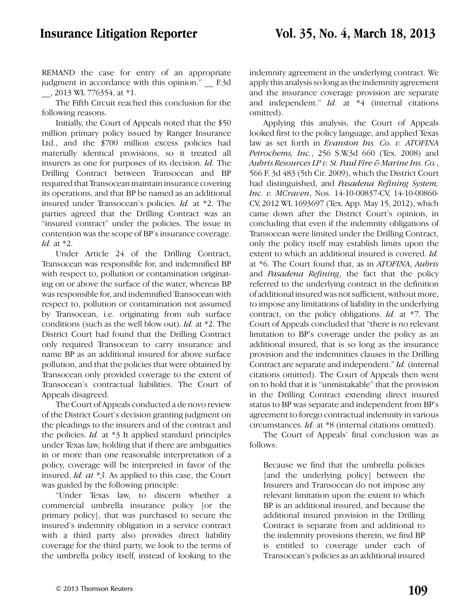REMAND the case for entry of an appropriate judgment in accordance with this opinion." F.3d \_\_, 2013 WL 776354, at \*1.

The Fifth Circuit reached this conclusion for the following reasons.

Initially, the Court of Appeals noted that the \$50 million primary policy issued by Ranger Insurance Ltd., and the \$700 million excess policies had materially identical provisions, so it treated all insurers as one for purposes of its decision. *Id.* The Drilling Contract between Transocean and BP required that Transocean maintain insurance covering its operations, and that BP be named as an additional insured under Transocean's policies. *Id.* at \*2. The parties agreed that the Drilling Contract was an "insured contract" under the policies. The issue in contention was the scope of BP's insurance coverage. *Id.* at \*2.

Under Article 24 of the Drilling Contract, Transocean was responsible for, and indemnified BP with respect to, pollution or contamination originating on or above the surface of the water, whereas BP was responsible for, and indemnified Transocean with respect to, pollution or contamination not assumed by Transocean, i.e. originating from sub surface conditions (such as the well blow out). *Id.* at \*2. The District Court had found that the Drilling Contract only required Transocean to carry insurance and name BP as an additional insured for above surface pollution, and that the policies that were obtained by Transocean only provided coverage to the extent of Transocean's contractual liabilities. The Court of Appeals disagreed.

The Court of Appeals conducted a de novo review of the District Court's decision granting judgment on the pleadings to the insurers and of the contract and the policies. *Id.* at \*3 It applied standard principles under Texas law, holding that if there are ambiguities in or more than one reasonable interpretation of a policy, coverage will be interpreted in favor of the insured. *Id. at \*3*. As applied to this case, the Court was guided by the following principle:

"Under Texas law, to discern whether a commercial umbrella insurance policy [or the primary policy], that was purchased to secure the insured's indemnity obligation in a service contract with a third party also provides direct liability coverage for the third party, we look to the terms of the umbrella policy itself, instead of looking to the indemnity agreement in the underlying contract. We apply this analysis so long as the indemnity agreement and the insurance coverage provision are separate and independent." *Id.* at \*4 (internal citations omitted).

Applying this analysis, the Court of Appeals looked first to the policy language, and applied Texas law as set forth in *Evanston Ins. Co. v. ATOFINA Petrochems, Inc.*, 256 S.W.3d 660 (Tex. 2008) and *Aubris Resources LP v. St. Paul Fire & Marine Ins. Co.*, 566 F. 3d 483 (5th Cir. 2009), which the District Court had distinguished, and *Pasadena Refining System, Inc. v. MCraven*, Nos. 14-10-00837-CV, 14-10-00860- CV, 2012 WL 1693697 (Tex. App. May 15, 2012), which came down after the District Court's opinion, in concluding that even if the indemnity obligations of Transocean were limited under the Drilling Contract, only the policy itself may establish limits upon the extent to which an additional insured is covered. *Id.* at \*6. The Court found that, as in *ATOFINA*, *Aubris* and *Pasadena Refining*, the fact that the policy referred to the underlying contract in the definition of additional insured was not sufficient, without more, to impose any limitations of liability in the underlying contract, on the policy obligations. *Id.* at \*7. The Court of Appeals concluded that "there is no relevant limitation to BP's coverage under the policy as an additional insured, that is so long as the insurance provision and the indemnities clauses in the Drilling Contract are separate and independent." *Id.* (internal citations omitted). The Court of Appeals then went on to hold that it is "unmistakable" that the provision in the Drilling Contract extending direct insured status to BP was separate and independent from BP's agreement to forego contractual indemnity in various circumstances*. Id*. at \*8 (internal citations omitted).

The Court of Appeals' final conclusion was as follows:

Because we find that the umbrella policies [and the underlying policy] between the Insurers and Transocean do not impose any relevant limitation upon the extent to which BP is an additional insured, and because the additional insured provision in the Drilling Contract is separate from and additional to the indemnity provisions therein, we find BP is entitled to coverage under each of Transocean's policies as an additional insured